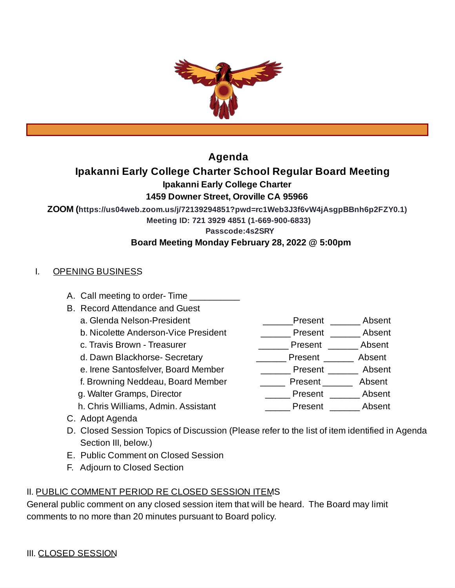

## **Agenda**

## **Ipakanni Early College Charter School Regular Board Meeting**

**Ipakanni Early College Charter**

## **1459 Downer Street, Oroville CA 95966**

**ZOOM (https://us04web.zoom.us/j/72139294851?pwd=rc1Web3J3f6vW4jAsgpBBnh6p2FZY0.1)**

**Meeting ID: 721 3929 4851 (1-669-900-6833)**

**Passcode:4s2SRY**

## **Board Meeting Monday February 28, 2022 @ 5:00pm**

## I. OPENING BUSINESS

- A. Call meeting to order-Time
- B. Record Attendance and Guest
	-
	- b. Nicolette Anderson-Vice President \_\_\_\_\_\_\_\_\_ Present \_\_\_\_\_\_\_ Absent
	-
	-
	- e. Irene Santosfelver, Board Member \_\_\_\_\_\_\_\_\_\_ Present \_\_\_\_\_\_\_ Absent
	- f. Browning Neddeau, Board Member \_\_\_\_\_\_\_\_ Present \_\_\_\_\_\_\_ Absent
	-
	- h. Chris Williams, Admin. Assistant **Example 20 Present** Absent
- a. Glenda Nelson-President and all controller and the Senate of Present and Absent
	-
- c. Travis Brown Treasurer \_\_\_\_\_\_\_\_\_\_\_\_\_\_\_\_\_\_\_\_\_\_\_\_Present \_\_\_\_\_\_\_\_\_ Absent
- d. Dawn Blackhorse- Secretary \_\_\_\_\_\_\_\_\_\_\_\_ Present \_\_\_\_\_\_\_ Absent
	-
	- -
		-
- C. Adopt Agenda
- D. Closed Session Topics of Discussion (Please refer to the list of item identified in Agenda Section III, below.)
- E. Public Comment on Closed Session
- F. Adjourn to Closed Section

# II. PUBLIC COMMENT PERIOD RE CLOSED SESSION ITEMS

General public comment on any closed session item that will be heard. The Board may limit comments to no more than 20 minutes pursuant to Board policy.

- 
- 
- g. Walter Gramps, Director \_\_\_\_\_ Present \_\_\_\_\_\_ Absent
	-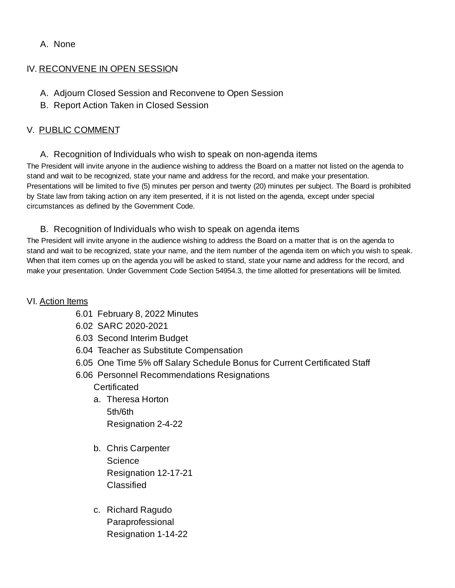### A. None

### IV. RECONVENE IN OPEN SESSION

- A. Adjourn Closed Session and Reconvene to Open Session
- B. Report Action Taken in Closed Session

### V. PUBLIC COMMENT

### A. Recognition of Individuals who wish to speak on non-agenda items

The President will invite anyone in the audience wishing to address the Board on a matter not listed on the agenda to stand and wait to be recognized, state your name and address for the record, and make your presentation. Presentations will be limited to five (5) minutes per person and twenty (20) minutes per subject. The Board is prohibited by State law from taking action on any item presented, if it is not listed on the agenda, except under special circumstances as defined by the Government Code.

### B. Recognition of Individuals who wish to speak on agenda items

The President will invite anyone in the audience wishing to address the Board on a matter that is on the agenda to stand and wait to be recognized, state your name, and the item number of the agenda item on which you wish to speak. When that item comes up on the agenda you will be asked to stand, state your name and address for the record, and make your presentation. Under Government Code Section 54954.3, the time allotted for presentations will be limited.

### VI. Action Items

- 6.01 February 8, 2022 Minutes
- 6.02 SARC 2020-2021
- 6.03 Second Interim Budget
- 6.04 Teacher as Substitute Compensation
- 6.05 One Time 5% off Salary Schedule Bonus for Current Certificated Staff
- 6.06 Personnel Recommendations Resignations

### Certificated

- a. Theresa Horton 5th/6th Resignation 2-4-22
- b. Chris Carpenter **Science** Resignation 12-17-21 Classified
- c. Richard Ragudo Paraprofessional Resignation 1-14-22